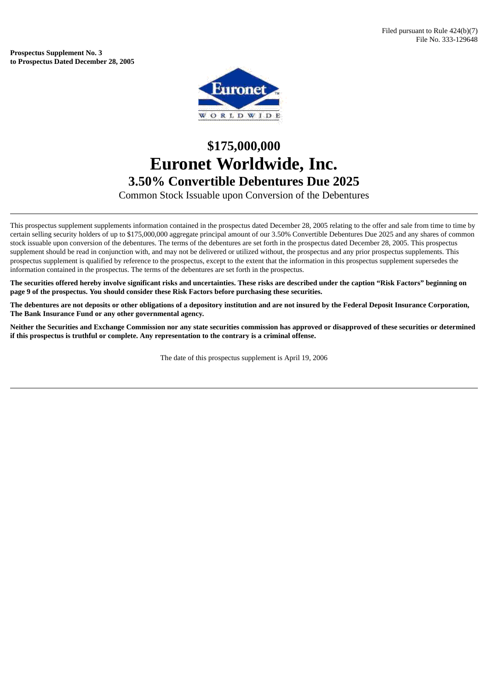**Prospectus Supplement No. 3 to Prospectus Dated December 28, 2005**



## **\$175,000,000 Euronet Worldwide, Inc. 3.50% Convertible Debentures Due 2025**

Common Stock Issuable upon Conversion of the Debentures

This prospectus supplement supplements information contained in the prospectus dated December 28, 2005 relating to the offer and sale from time to time by certain selling security holders of up to \$175,000,000 aggregate principal amount of our 3.50% Convertible Debentures Due 2025 and any shares of common stock issuable upon conversion of the debentures. The terms of the debentures are set forth in the prospectus dated December 28, 2005. This prospectus supplement should be read in conjunction with, and may not be delivered or utilized without, the prospectus and any prior prospectus supplements. This prospectus supplement is qualified by reference to the prospectus, except to the extent that the information in this prospectus supplement supersedes the information contained in the prospectus. The terms of the debentures are set forth in the prospectus.

The securities offered hereby involve significant risks and uncertainties. These risks are described under the caption "Risk Factors" beginning on **page 9 of the prospectus. You should consider these Risk Factors before purchasing these securities.**

The debentures are not deposits or other obligations of a depository institution and are not insured by the Federal Deposit Insurance Corporation, **The Bank Insurance Fund or any other governmental agency.**

Neither the Securities and Exchange Commission nor any state securities commission has approved or disapproved of these securities or determined **if this prospectus is truthful or complete. Any representation to the contrary is a criminal offense.**

The date of this prospectus supplement is April 19, 2006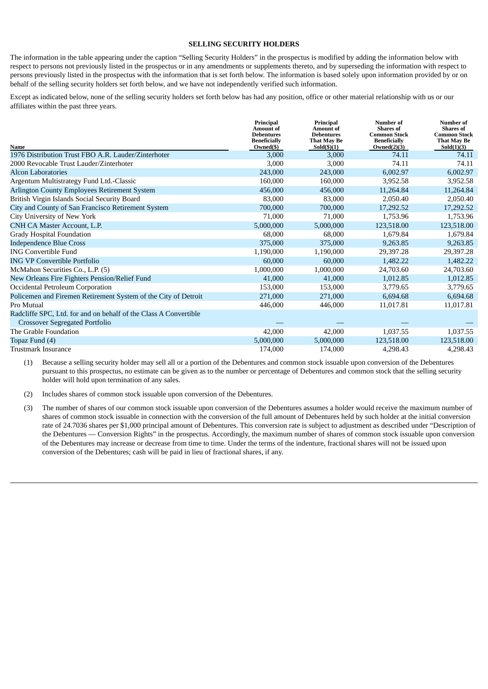## **SELLING SECURITY HOLDERS**

The information in the table appearing under the caption "Selling Security Holders" in the prospectus is modified by adding the information below with respect to persons not previously listed in the prospectus or in any amendments or supplements thereto, and by superseding the information with respect to persons previously listed in the prospectus with the information that is set forth below. The information is based solely upon information provided by or on behalf of the selling security holders set forth below, and we have not independently verified such information.

Except as indicated below, none of the selling security holders set forth below has had any position, office or other material relationship with us or our affiliates within the past three years.

| <b>Name</b>                                                      | Principal<br><b>Amount</b> of<br><b>Debentures</b><br><b>Beneficially</b><br>Owned(\$) | Principal<br><b>Amount</b> of<br><b>Debentures</b><br><b>That May Be</b><br>$Sold(\text{\$})(1)$ | <b>Number</b> of<br><b>Shares of</b><br><b>Common Stock</b><br><b>Beneficially</b><br>Owned(2)(3) | <b>Number of</b><br><b>Shares</b> of<br><b>Common Stock</b><br>That May Be<br>Sold(1)(3) |
|------------------------------------------------------------------|----------------------------------------------------------------------------------------|--------------------------------------------------------------------------------------------------|---------------------------------------------------------------------------------------------------|------------------------------------------------------------------------------------------|
| 1976 Distribution Trust FBO A.R. Lauder/Zinterhoter              | 3,000                                                                                  | 3,000                                                                                            | 74.11                                                                                             | 74.11                                                                                    |
| 2000 Revocable Trust Lauder/Zinterhoter                          | 3,000                                                                                  | 3,000                                                                                            | 74.11                                                                                             | 74.11                                                                                    |
| <b>Alcon Laboratories</b>                                        | 243,000                                                                                | 243,000                                                                                          | 6,002.97                                                                                          | 6,002.97                                                                                 |
| Argentum Multistrategy Fund Ltd.-Classic                         | 160,000                                                                                | 160,000                                                                                          | 3,952.58                                                                                          | 3,952.58                                                                                 |
| Arlington County Employees Retirement System                     | 456,000                                                                                | 456,000                                                                                          | 11,264.84                                                                                         | 11,264.84                                                                                |
| British Virgin Islands Social Security Board                     | 83,000                                                                                 | 83,000                                                                                           | 2,050.40                                                                                          | 2,050.40                                                                                 |
| City and County of San Francisco Retirement System               | 700,000                                                                                | 700,000                                                                                          | 17,292.52                                                                                         | 17,292.52                                                                                |
| City University of New York                                      | 71,000                                                                                 | 71,000                                                                                           | 1,753.96                                                                                          | 1,753.96                                                                                 |
| CNH CA Master Account, L.P.                                      | 5,000,000                                                                              | 5,000,000                                                                                        | 123,518.00                                                                                        | 123,518.00                                                                               |
| <b>Grady Hospital Foundation</b>                                 | 68,000                                                                                 | 68,000                                                                                           | 1,679.84                                                                                          | 1,679.84                                                                                 |
| <b>Independence Blue Cross</b>                                   | 375,000                                                                                | 375,000                                                                                          | 9,263.85                                                                                          | 9,263.85                                                                                 |
| <b>ING Convertible Fund</b>                                      | 1,190,000                                                                              | 1,190,000                                                                                        | 29,397.28                                                                                         | 29,397.28                                                                                |
| <b>ING VP Convertible Portfolio</b>                              | 60,000                                                                                 | 60,000                                                                                           | 1,482.22                                                                                          | 1,482.22                                                                                 |
| McMahon Securities Co., L.P. (5)                                 | 1,000,000                                                                              | 1,000,000                                                                                        | 24,703.60                                                                                         | 24,703.60                                                                                |
| New Orleans Fire Fighters Pension/Relief Fund                    | 41,000                                                                                 | 41,000                                                                                           | 1,012.85                                                                                          | 1,012.85                                                                                 |
| Occidental Petroleum Corporation                                 | 153,000                                                                                | 153,000                                                                                          | 3,779.65                                                                                          | 3,779.65                                                                                 |
| Policemen and Firemen Retirement System of the City of Detroit   | 271,000                                                                                | 271,000                                                                                          | 6,694.68                                                                                          | 6,694.68                                                                                 |
| Pro Mutual                                                       | 446,000                                                                                | 446,000                                                                                          | 11,017.81                                                                                         | 11,017.81                                                                                |
| Radcliffe SPC, Ltd. for and on behalf of the Class A Convertible |                                                                                        |                                                                                                  |                                                                                                   |                                                                                          |
| <b>Crossover Segregated Portfolio</b>                            |                                                                                        |                                                                                                  |                                                                                                   |                                                                                          |
| The Grable Foundation                                            | 42,000                                                                                 | 42,000                                                                                           | 1,037.55                                                                                          | 1,037.55                                                                                 |
| Topaz Fund (4)                                                   | 5,000,000                                                                              | 5,000,000                                                                                        | 123,518.00                                                                                        | 123,518.00                                                                               |
| Trustmark Insurance                                              | 174,000                                                                                | 174,000                                                                                          | 4,298.43                                                                                          | 4,298.43                                                                                 |

(1) Because a selling security holder may sell all or a portion of the Debentures and common stock issuable upon conversion of the Debentures pursuant to this prospectus, no estimate can be given as to the number or percentage of Debentures and common stock that the selling security holder will hold upon termination of any sales.

- (2) Includes shares of common stock issuable upon conversion of the Debentures.
- (3) The number of shares of our common stock issuable upon conversion of the Debentures assumes a holder would receive the maximum number of shares of common stock issuable in connection with the conversion of the full amount of Debentures held by such holder at the initial conversion rate of 24.7036 shares per \$1,000 principal amount of Debentures. This conversion rate is subject to adjustment as described under "Description of the Debentures — Conversion Rights" in the prospectus. Accordingly, the maximum number of shares of common stock issuable upon conversion of the Debentures may increase or decrease from time to time. Under the terms of the indenture, fractional shares will not be issued upon conversion of the Debentures; cash will be paid in lieu of fractional shares, if any.